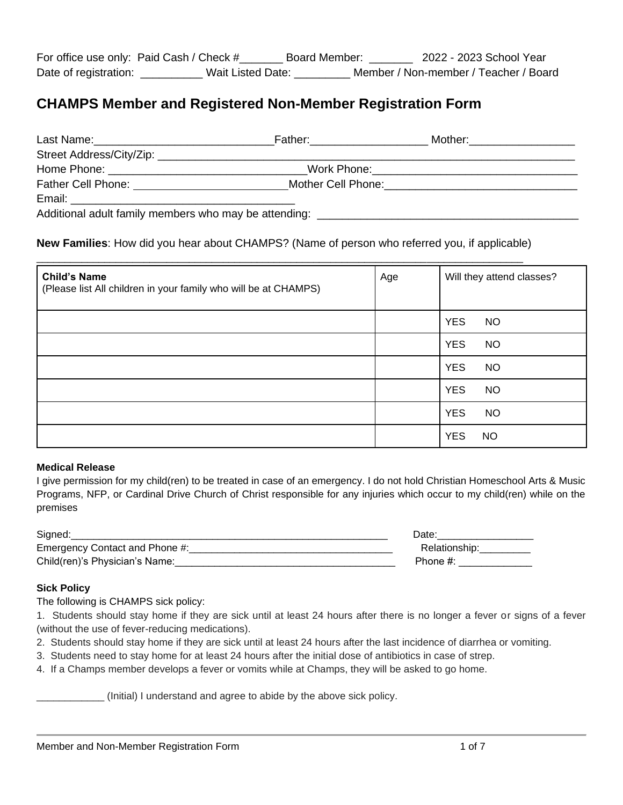# **CHAMPS Member and Registered Non-Member Registration Form**

| Last Name:<br><u> 1980 - Jan Stein Stein, mars and de Britannie and de Britannie and de Britannie and de Britannie and de Britannie</u>                                                                                        | Father: _______________ | Mother: ____________________                 |
|--------------------------------------------------------------------------------------------------------------------------------------------------------------------------------------------------------------------------------|-------------------------|----------------------------------------------|
|                                                                                                                                                                                                                                |                         |                                              |
|                                                                                                                                                                                                                                |                         | Work Phone:_________________________________ |
| Father Cell Phone: The Contract of the Contract of the Contract of the Contract of the Contract of the Contract of the Contract of the Contract of the Contract of the Contract of the Contract of the Contract of the Contrac |                         |                                              |
|                                                                                                                                                                                                                                |                         |                                              |
| Additional adult family members who may be attending:                                                                                                                                                                          |                         |                                              |

# **New Families**: How did you hear about CHAMPS? (Name of person who referred you, if applicable)

| <b>Child's Name</b><br>(Please list All children in your family who will be at CHAMPS) | Age | Will they attend classes? |
|----------------------------------------------------------------------------------------|-----|---------------------------|
|                                                                                        |     | <b>YES</b><br><b>NO</b>   |
|                                                                                        |     | <b>YES</b><br><b>NO</b>   |
|                                                                                        |     | <b>YES</b><br><b>NO</b>   |
|                                                                                        |     | <b>YES</b><br><b>NO</b>   |
|                                                                                        |     | <b>YES</b><br><b>NO</b>   |
|                                                                                        |     | <b>YES</b><br><b>NO</b>   |

#### **Medical Release**

I give permission for my child(ren) to be treated in case of an emergency. I do not hold Christian Homeschool Arts & Music Programs, NFP, or Cardinal Drive Church of Christ responsible for any injuries which occur to my child(ren) while on the premises

| Signed:                        | Date:         |
|--------------------------------|---------------|
| Emergency Contact and Phone #: | Relationship: |
| Child(ren)'s Physician's Name: | Phone #:      |

#### **Sick Policy**

The following is CHAMPS sick policy:

1. Students should stay home if they are sick until at least 24 hours after there is no longer a fever or signs of a fever (without the use of fever-reducing medications).

- 2. Students should stay home if they are sick until at least 24 hours after the last incidence of diarrhea or vomiting.
- 3. Students need to stay home for at least 24 hours after the initial dose of antibiotics in case of strep.
- 4. If a Champs member develops a fever or vomits while at Champs, they will be asked to go home.

\_\_\_\_\_\_\_\_\_\_\_\_ (Initial) I understand and agree to abide by the above sick policy.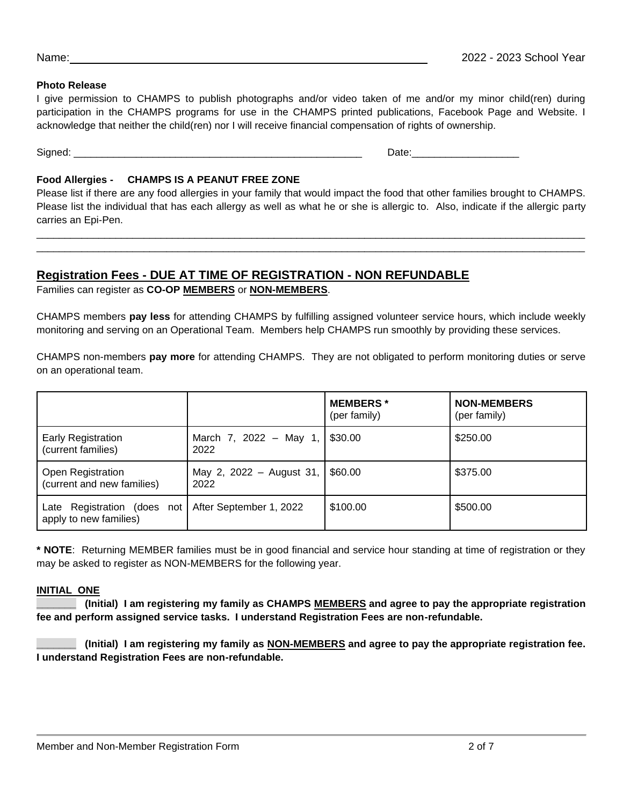#### **Photo Release**

I give permission to CHAMPS to publish photographs and/or video taken of me and/or my minor child(ren) during participation in the CHAMPS programs for use in the CHAMPS printed publications, Facebook Page and Website. I acknowledge that neither the child(ren) nor I will receive financial compensation of rights of ownership.

Signed: \_\_\_\_\_\_\_\_\_\_\_\_\_\_\_\_\_\_\_\_\_\_\_\_\_\_\_\_\_\_\_\_\_\_\_\_\_\_\_\_\_\_\_\_\_\_\_\_\_\_\_ Date:\_\_\_\_\_\_\_\_\_\_\_\_\_\_\_\_\_\_\_

## **Food Allergies - CHAMPS IS A PEANUT FREE ZONE**

Please list if there are any food allergies in your family that would impact the food that other families brought to CHAMPS. Please list the individual that has each allergy as well as what he or she is allergic to. Also, indicate if the allergic party carries an Epi-Pen.

 $\Box$ \_\_\_\_\_\_\_\_\_\_\_\_\_\_\_\_\_\_\_\_\_\_\_\_\_\_\_\_\_\_\_\_\_\_\_\_\_\_\_\_\_\_\_\_\_\_\_\_\_\_\_\_\_\_\_\_\_\_\_\_\_\_\_\_\_\_\_\_\_\_\_\_\_\_\_\_\_\_\_\_\_\_\_\_\_\_\_\_\_\_\_\_\_\_\_\_\_

# **Registration Fees - DUE AT TIME OF REGISTRATION - NON REFUNDABLE**

Families can register as **CO-OP MEMBERS** or **NON-MEMBERS**.

CHAMPS members **pay less** for attending CHAMPS by fulfilling assigned volunteer service hours, which include weekly monitoring and serving on an Operational Team. Members help CHAMPS run smoothly by providing these services.

CHAMPS non-members **pay more** for attending CHAMPS. They are not obligated to perform monitoring duties or serve on an operational team.

|                                                        |                                  | <b>MEMBERS</b> *<br>(per family) | <b>NON-MEMBERS</b><br>(per family) |
|--------------------------------------------------------|----------------------------------|----------------------------------|------------------------------------|
| <b>Early Registration</b><br>(current families)        | March 7, 2022 - May 1,<br>2022   | \$30.00                          | \$250.00                           |
| <b>Open Registration</b><br>(current and new families) | May 2, 2022 - August 31,<br>2022 | \$60.00                          | \$375.00                           |
| Late Registration (does not<br>apply to new families)  | After September 1, 2022          | \$100.00                         | \$500.00                           |

**\* NOTE**: Returning MEMBER families must be in good financial and service hour standing at time of registration or they may be asked to register as NON-MEMBERS for the following year.

## **INITIAL ONE**

**\_\_\_\_\_\_\_ (Initial) I am registering my family as CHAMPS MEMBERS and agree to pay the appropriate registration fee and perform assigned service tasks. I understand Registration Fees are non-refundable.**

**\_\_\_\_\_\_\_ (Initial) I am registering my family as NON-MEMBERS and agree to pay the appropriate registration fee. I understand Registration Fees are non-refundable.**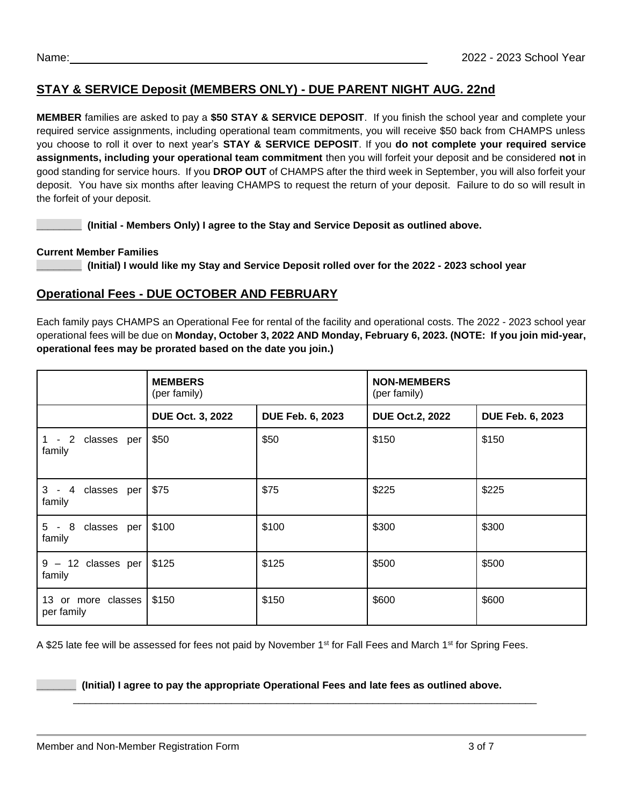# **STAY & SERVICE Deposit (MEMBERS ONLY) - DUE PARENT NIGHT AUG. 22nd**

**MEMBER** families are asked to pay a **\$50 STAY & SERVICE DEPOSIT**. If you finish the school year and complete your required service assignments, including operational team commitments, you will receive \$50 back from CHAMPS unless you choose to roll it over to next year's **STAY & SERVICE DEPOSIT**. If you **do not complete your required service assignments, including your operational team commitment** then you will forfeit your deposit and be considered **not** in good standing for service hours. If you **DROP OUT** of CHAMPS after the third week in September, you will also forfeit your deposit. You have six months after leaving CHAMPS to request the return of your deposit. Failure to do so will result in the forfeit of your deposit.

**\_\_\_\_\_\_\_\_ (Initial - Members Only) I agree to the Stay and Service Deposit as outlined above.**

## **Current Member Families**

**\_\_\_\_\_\_\_\_ (Initial) I would like my Stay and Service Deposit rolled over for the 2022 - 2023 school year**

# **Operational Fees - DUE OCTOBER AND FEBRUARY**

Each family pays CHAMPS an Operational Fee for rental of the facility and operational costs. The 2022 - 2023 school year operational fees will be due on **Monday, October 3, 2022 AND Monday, February 6, 2023. (NOTE: If you join mid-year, operational fees may be prorated based on the date you join.)**

|                                  | <b>MEMBERS</b><br>(per family) |                  | <b>NON-MEMBERS</b><br>(per family) |                         |
|----------------------------------|--------------------------------|------------------|------------------------------------|-------------------------|
|                                  | <b>DUE Oct. 3, 2022</b>        | DUE Feb. 6, 2023 | <b>DUE Oct.2, 2022</b>             | <b>DUE Feb. 6, 2023</b> |
| $1 - 2$<br>classes per<br>family | \$50                           | \$50             | \$150                              | \$150                   |
| 3 - 4 classes per<br>family      | \$75                           | \$75             | \$225                              | \$225                   |
| 5 - 8 classes per<br>family      | \$100                          | \$100            | \$300                              | \$300                   |
| $9 - 12$ classes per<br>family   | \$125                          | \$125            | \$500                              | \$500                   |
| 13 or more classes<br>per family | \$150                          | \$150            | \$600                              | \$600                   |

A \$25 late fee will be assessed for fees not paid by November 1<sup>st</sup> for Fall Fees and March 1<sup>st</sup> for Spring Fees.

#### **\_\_\_\_\_\_\_ (Initial) I agree to pay the appropriate Operational Fees and late fees as outlined above.**

\_\_\_\_\_\_\_\_\_\_\_\_\_\_\_\_\_\_\_\_\_\_\_\_\_\_\_\_\_\_\_\_\_\_\_\_\_\_\_\_\_\_\_\_\_\_\_\_\_\_\_\_\_\_\_\_\_\_\_\_\_\_\_\_\_\_\_\_\_\_\_\_\_\_\_\_\_\_\_\_\_\_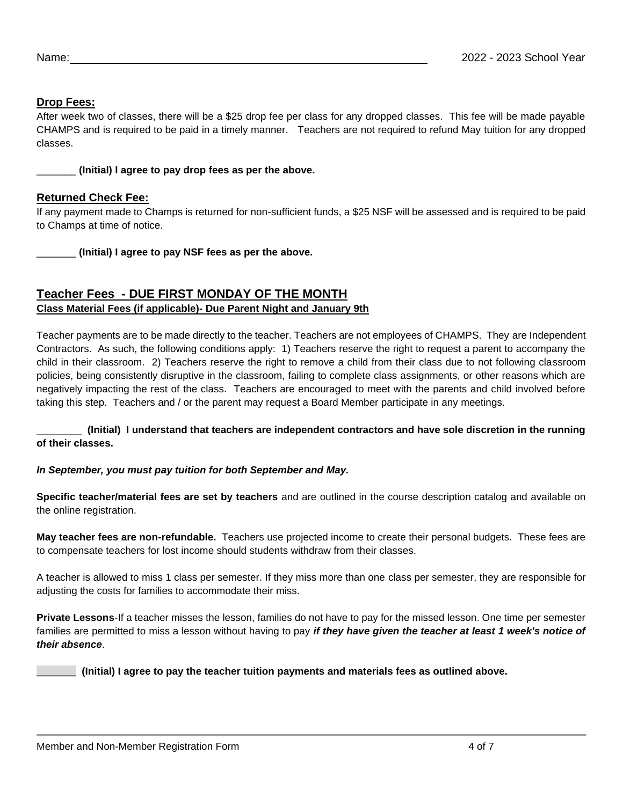# **Drop Fees:**

After week two of classes, there will be a \$25 drop fee per class for any dropped classes. This fee will be made payable CHAMPS and is required to be paid in a timely manner. Teachers are not required to refund May tuition for any dropped classes.

\_\_\_\_\_\_\_ **(Initial) I agree to pay drop fees as per the above.**

#### **Returned Check Fee:**

If any payment made to Champs is returned for non-sufficient funds, a \$25 NSF will be assessed and is required to be paid to Champs at time of notice.

\_\_\_\_\_\_\_ **(Initial) I agree to pay NSF fees as per the above.**

# **Teacher Fees - DUE FIRST MONDAY OF THE MONTH Class Material Fees (if applicable)- Due Parent Night and January 9th**

Teacher payments are to be made directly to the teacher. Teachers are not employees of CHAMPS. They are Independent Contractors. As such, the following conditions apply: 1) Teachers reserve the right to request a parent to accompany the child in their classroom. 2) Teachers reserve the right to remove a child from their class due to not following classroom policies, being consistently disruptive in the classroom, failing to complete class assignments, or other reasons which are negatively impacting the rest of the class. Teachers are encouraged to meet with the parents and child involved before taking this step. Teachers and / or the parent may request a Board Member participate in any meetings.

\_\_\_\_\_\_\_\_ **(Initial) I understand that teachers are independent contractors and have sole discretion in the running of their classes.**

#### *In September, you must pay tuition for both September and May.*

**Specific teacher/material fees are set by teachers** and are outlined in the course description catalog and available on the online registration.

**May teacher fees are non-refundable.** Teachers use projected income to create their personal budgets. These fees are to compensate teachers for lost income should students withdraw from their classes.

A teacher is allowed to miss 1 class per semester. If they miss more than one class per semester, they are responsible for adjusting the costs for families to accommodate their miss.

**Private Lessons**-If a teacher misses the lesson, families do not have to pay for the missed lesson. One time per semester families are permitted to miss a lesson without having to pay *if they have given the teacher at least 1 week's notice of their absence*.

**\_\_\_\_\_\_\_ (Initial) I agree to pay the teacher tuition payments and materials fees as outlined above.**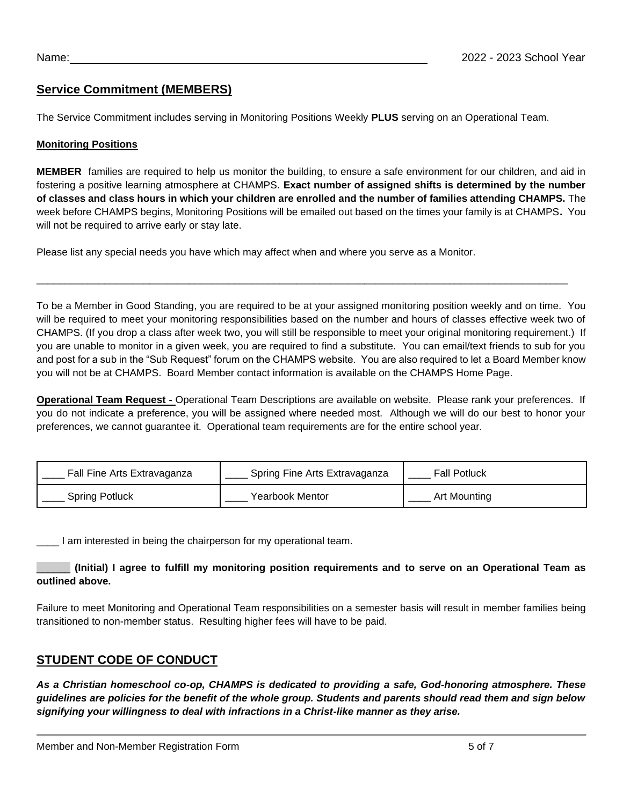# **Service Commitment (MEMBERS)**

The Service Commitment includes serving in Monitoring Positions Weekly **PLUS** serving on an Operational Team.

#### **Monitoring Positions**

**MEMBER** families are required to help us monitor the building, to ensure a safe environment for our children, and aid in fostering a positive learning atmosphere at CHAMPS. **Exact number of assigned shifts is determined by the number of classes and class hours in which your children are enrolled and the number of families attending CHAMPS.** The week before CHAMPS begins, Monitoring Positions will be emailed out based on the times your family is at CHAMPS**.** You will not be required to arrive early or stay late.

Please list any special needs you have which may affect when and where you serve as a Monitor.

To be a Member in Good Standing, you are required to be at your assigned monitoring position weekly and on time. You will be required to meet your monitoring responsibilities based on the number and hours of classes effective week two of CHAMPS. (If you drop a class after week two, you will still be responsible to meet your original monitoring requirement.) If you are unable to monitor in a given week, you are required to find a substitute. You can email/text friends to sub for you and post for a sub in the "Sub Request" forum on the CHAMPS website. You are also required to let a Board Member know you will not be at CHAMPS. Board Member contact information is available on the CHAMPS Home Page.

\_\_\_\_\_\_\_\_\_\_\_\_\_\_\_\_\_\_\_\_\_\_\_\_\_\_\_\_\_\_\_\_\_\_\_\_\_\_\_\_\_\_\_\_\_\_\_\_\_\_\_\_\_\_\_\_\_\_\_\_\_\_\_\_\_\_\_\_\_\_\_\_\_\_\_\_\_\_\_\_\_\_\_\_\_\_\_\_\_\_\_\_\_\_

**Operational Team Request -** Operational Team Descriptions are available on website. Please rank your preferences. If you do not indicate a preference, you will be assigned where needed most. Although we will do our best to honor your preferences, we cannot guarantee it. Operational team requirements are for the entire school year.

| Fall Fine Arts Extravaganza | Spring Fine Arts Extravaganza | <b>Fall Potluck</b> |
|-----------------------------|-------------------------------|---------------------|
| <b>Spring Potluck</b>       | Yearbook Mentor               | Art Mounting        |

\_\_\_\_ I am interested in being the chairperson for my operational team.

## \_\_\_\_\_\_ **(Initial) I agree to fulfill my monitoring position requirements and to serve on an Operational Team as outlined above.**

Failure to meet Monitoring and Operational Team responsibilities on a semester basis will result in member families being transitioned to non-member status. Resulting higher fees will have to be paid.

# **STUDENT CODE OF CONDUCT**

*As a Christian homeschool co-op, CHAMPS is dedicated to providing a safe, God-honoring atmosphere. These guidelines are policies for the benefit of the whole group. Students and parents should read them and sign below signifying your willingness to deal with infractions in a Christ-like manner as they arise.*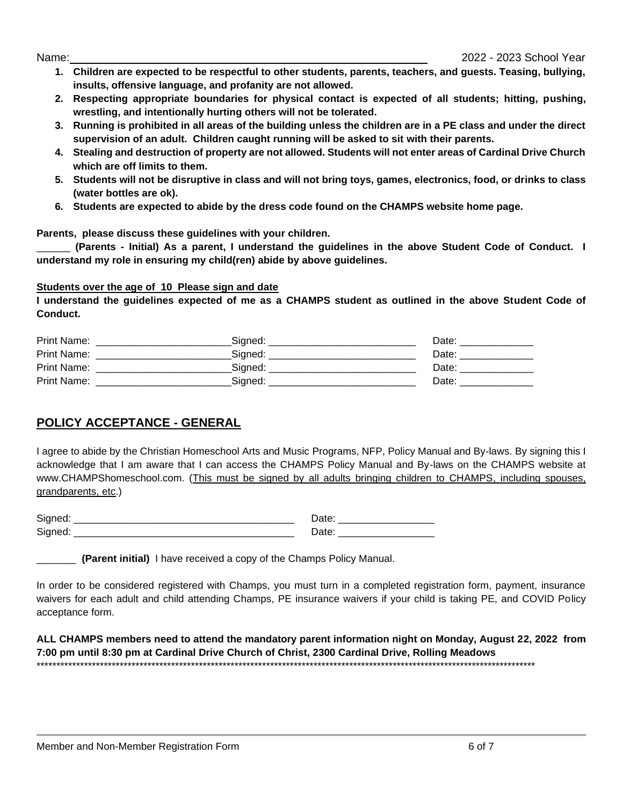- **1. Children are expected to be respectful to other students, parents, teachers, and guests. Teasing, bullying, insults, offensive language, and profanity are not allowed.**
- **2. Respecting appropriate boundaries for physical contact is expected of all students; hitting, pushing, wrestling, and intentionally hurting others will not be tolerated.**
- **3. Running is prohibited in all areas of the building unless the children are in a PE class and under the direct supervision of an adult. Children caught running will be asked to sit with their parents.**
- **4. Stealing and destruction of property are not allowed. Students will not enter areas of Cardinal Drive Church which are off limits to them.**
- **5. Students will not be disruptive in class and will not bring toys, games, electronics, food, or drinks to class (water bottles are ok).**
- **6. Students are expected to abide by the dress code found on the CHAMPS website home page.**

**Parents, please discuss these guidelines with your children.**

\_\_\_\_\_\_ **(Parents - Initial) As a parent, I understand the guidelines in the above Student Code of Conduct. I understand my role in ensuring my child(ren) abide by above guidelines.**

## **Students over the age of 10 Please sign and date**

**I understand the guidelines expected of me as a CHAMPS student as outlined in the above Student Code of Conduct.** 

| Print Name: | Signed: | Date: |
|-------------|---------|-------|
| Print Name: | Signed: | Date: |
| Print Name: | Sianed: | Date: |
| Print Name: | Sianed: | Date: |

# **POLICY ACCEPTANCE - GENERAL**

I agree to abide by the Christian Homeschool Arts and Music Programs, NFP, Policy Manual and By-laws. By signing this I acknowledge that I am aware that I can access the CHAMPS Policy Manual and By-laws on the CHAMPS website at www.CHAMPShomeschool.com. (This must be signed by all adults bringing children to CHAMPS, including spouses, grandparents, etc.)

| -<br>__ | _______ |
|---------|---------|
| -       |         |

\_\_\_\_\_\_\_ **(Parent initial)** I have received a copy of the Champs Policy Manual.

In order to be considered registered with Champs, you must turn in a completed registration form, payment, insurance waivers for each adult and child attending Champs, PE insurance waivers if your child is taking PE, and COVID Policy acceptance form.

**ALL CHAMPS members need to attend the mandatory parent information night on Monday, August 22, 2022 from 7:00 pm until 8:30 pm at Cardinal Drive Church of Christ, 2300 Cardinal Drive, Rolling Meadows**